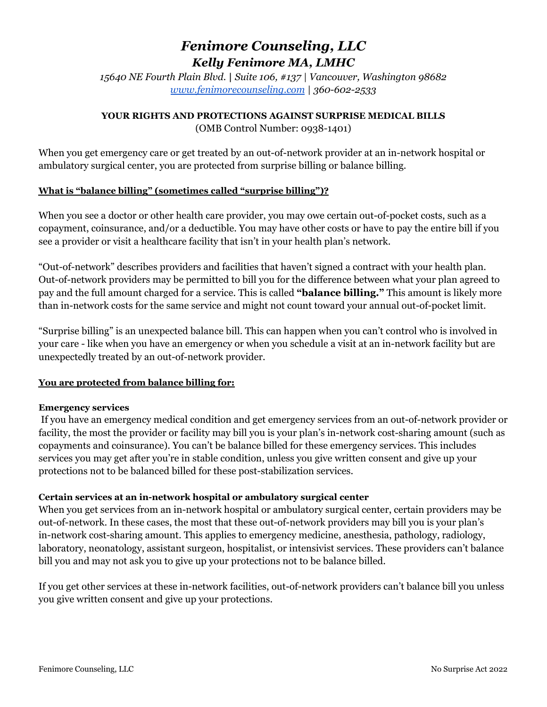# *Fenimore Counseling, LLC Kelly Fenimore MA, LMHC*

*15640 NE Fourth Plain Blvd.* **|** *Suite 106, #137 | Vancouver, Washington 98682 [www.fenimorecounseling.com](http://www.fenimorecounseling.com) | 360-602-2533*

## **YOUR RIGHTS AND PROTECTIONS AGAINST SURPRISE MEDICAL BILLS**

(OMB Control Number: 0938-1401)

When you get emergency care or get treated by an out-of-network provider at an in-network hospital or ambulatory surgical center, you are protected from surprise billing or balance billing.

## **What is "balance billing" (sometimes called "surprise billing")?**

When you see a doctor or other health care provider, you may owe certain out-of-pocket costs, such as a copayment, coinsurance, and/or a deductible. You may have other costs or have to pay the entire bill if you see a provider or visit a healthcare facility that isn't in your health plan's network.

"Out-of-network" describes providers and facilities that haven't signed a contract with your health plan. Out-of-network providers may be permitted to bill you for the difference between what your plan agreed to pay and the full amount charged for a service. This is called **"balance billing."** This amount is likely more than in-network costs for the same service and might not count toward your annual out-of-pocket limit.

"Surprise billing" is an unexpected balance bill. This can happen when you can't control who is involved in your care - like when you have an emergency or when you schedule a visit at an in-network facility but are unexpectedly treated by an out-of-network provider.

# **You are protected from balance billing for:**

## **Emergency services**

If you have an emergency medical condition and get emergency services from an out-of-network provider or facility, the most the provider or facility may bill you is your plan's in-network cost-sharing amount (such as copayments and coinsurance). You can't be balance billed for these emergency services. This includes services you may get after you're in stable condition, unless you give written consent and give up your protections not to be balanced billed for these post-stabilization services.

## **Certain services at an in-network hospital or ambulatory surgical center**

When you get services from an in-network hospital or ambulatory surgical center, certain providers may be out-of-network. In these cases, the most that these out-of-network providers may bill you is your plan's in-network cost-sharing amount. This applies to emergency medicine, anesthesia, pathology, radiology, laboratory, neonatology, assistant surgeon, hospitalist, or intensivist services. These providers can't balance bill you and may not ask you to give up your protections not to be balance billed.

If you get other services at these in-network facilities, out-of-network providers can't balance bill you unless you give written consent and give up your protections.